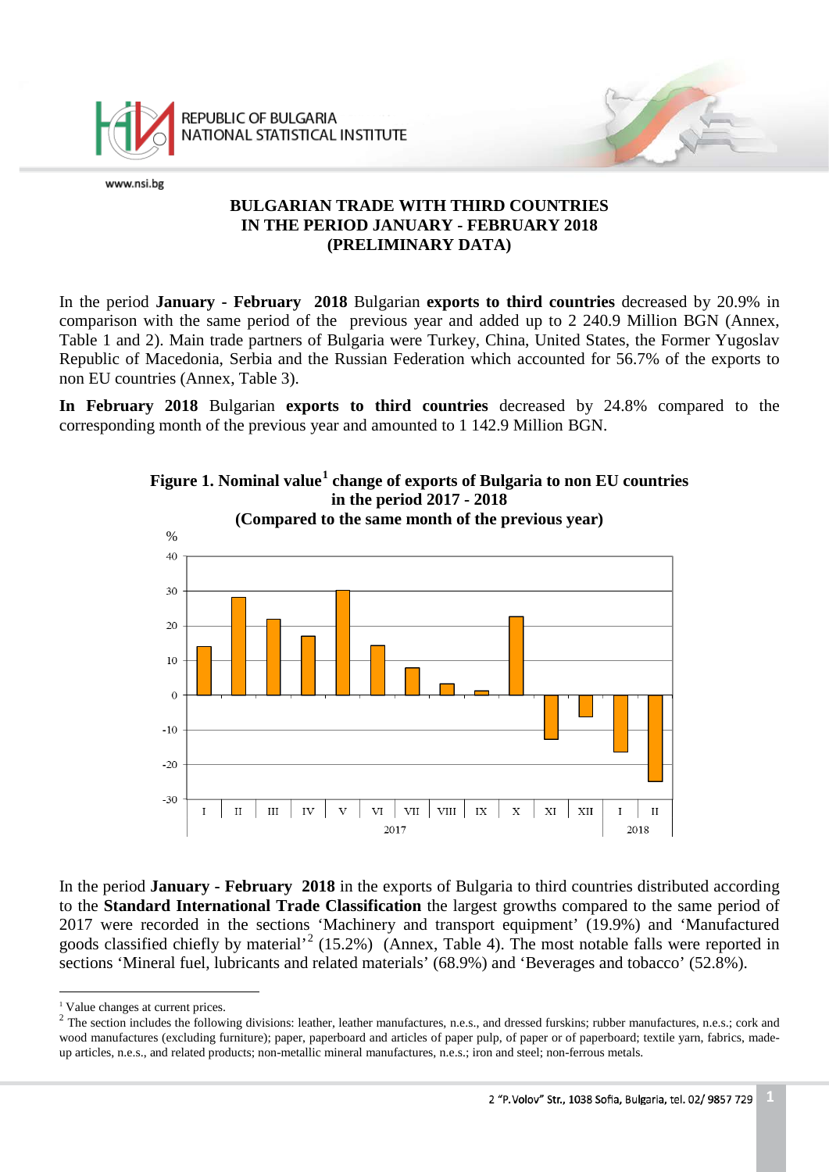

REPUBLIC OF BULGARIA NATIONAL STATISTICAL INSTITUTE

www.nsi.bg

### **BULGARIAN TRADE WITH THIRD COUNTRIES IN THE PERIOD JANUARY - FEBRUARY 2018 (PRELIMINARY DATA)**

In the period **January - February 2018** Bulgarian **exports to third countries** decreased by 20.9% in comparison with the same period of the previous year and added up to 2 240.9 Million BGN (Annex, Table 1 and 2). Main trade partners of Bulgaria were Turkey, China, United States, the Former Yugoslav Republic of Macedonia, Serbia and the Russian Federation which accounted for 56.7% of the exports to non EU countries (Annex, Table 3).

**In February 2018** Bulgarian **exports to third countries** decreased by 24.8% compared to the corresponding month of the previous year and amounted to 1 142.9 Million BGN.



**Figure 1. Nominal value[1](#page-0-0) change of exports of Bulgaria to non EU countries in the period 2017 - 2018**

In the period **January - February 2018** in the exports of Bulgaria to third countries distributed according to the **Standard International Trade Classification** the largest growths compared to the same period of 2017 were recorded in the sections 'Machinery and transport equipment' (19.9%) and 'Manufactured goods classified chiefly by material'<sup>[2](#page-0-1)</sup> (15.2%) (Annex, Table 4). The most notable falls were reported in sections 'Mineral fuel, lubricants and related materials' (68.9%) and 'Beverages and tobacco' (52.8%).

<span id="page-0-0"></span><sup>&</sup>lt;sup>1</sup> Value changes at current prices.

<span id="page-0-1"></span> $2$  The section includes the following divisions: leather, leather manufactures, n.e.s., and dressed furskins; rubber manufactures, n.e.s.; cork and wood manufactures (excluding furniture); paper, paperboard and articles of paper pulp, of paper or of paperboard; textile yarn, fabrics, madeup articles, n.e.s., and related products; non-metallic mineral manufactures, n.e.s.; iron and steel; non-ferrous metals.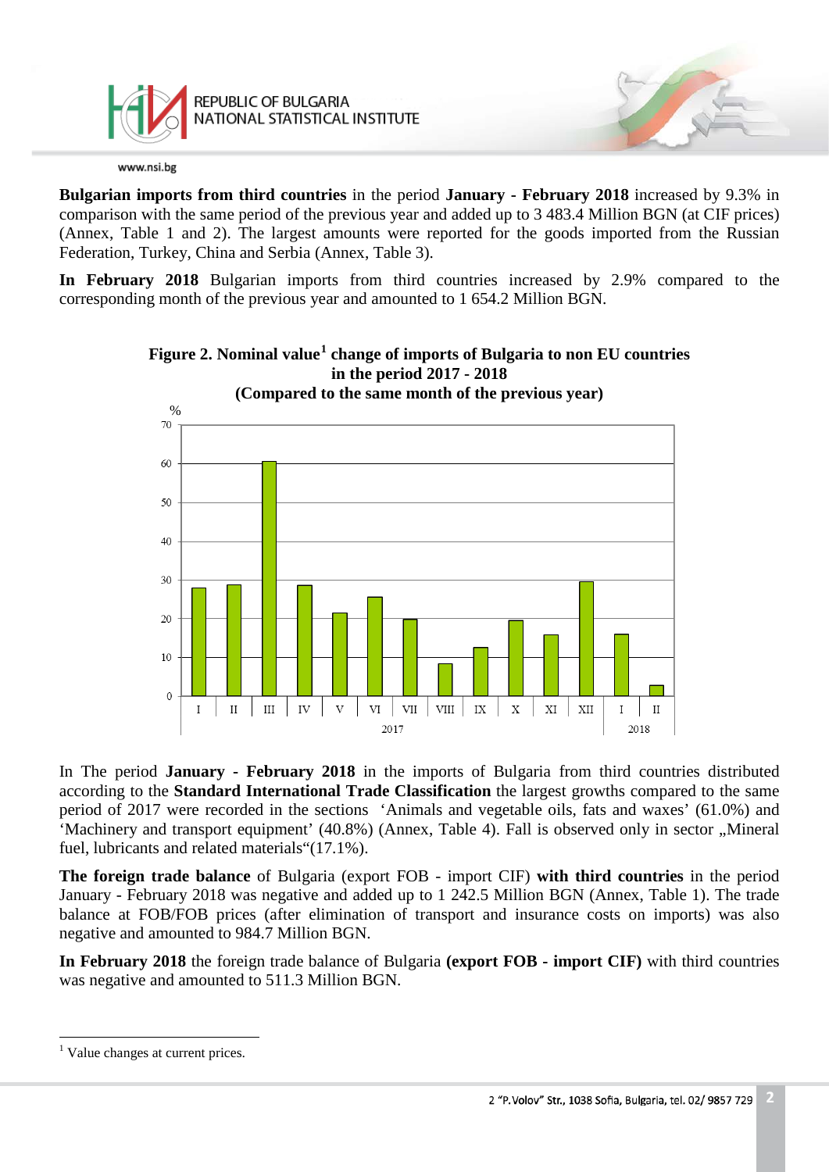

REPUBLIC OF BULGARIA NATIONAL STATISTICAL INSTITUTE

www.nsi.bg

**Bulgarian imports from third countries** in the period **January - February 2018** increased by 9.3% in comparison with the same period of the previous year and added up to 3 483.4 Million BGN (at CIF prices) (Annex, Table 1 and 2). The largest amounts were reported for the goods imported from the Russian Federation, Turkey, China and Serbia (Annex, Table 3).

**In February 2018** Bulgarian imports from third countries increased by 2.9% compared to the corresponding month of the previous year and amounted to 1 654.2 Million BGN.



**Figure 2. Nominal value[1](#page-1-0) change of imports of Bulgaria to non EU countries in the period 2017 - 2018**

In The period **January - February 2018** in the imports of Bulgaria from third countries distributed according to the **Standard International Trade Classification** the largest growths compared to the same period of 2017 were recorded in the sections 'Animals and vegetable oils, fats and waxes' (61.0%) and 'Machinery and transport equipment' (40.8%) (Annex, Table 4). Fall is observed only in sector "Mineral fuel, lubricants and related materials"(17.1%).

**The foreign trade balance** of Bulgaria (export FOB - import CIF) **with third countries** in the period January - February 2018 was negative and added up to 1 242.5 Million BGN (Annex, Table 1). The trade balance at FOB/FOB prices (after elimination of transport and insurance costs on imports) was also negative and amounted to 984.7 Million BGN.

**In February 2018** the foreign trade balance of Bulgaria **(export FOB - import CIF)** with third countries was negative and amounted to 511.3 Million BGN.

 $\overline{a}$ 

<span id="page-1-0"></span><sup>&</sup>lt;sup>1</sup> Value changes at current prices.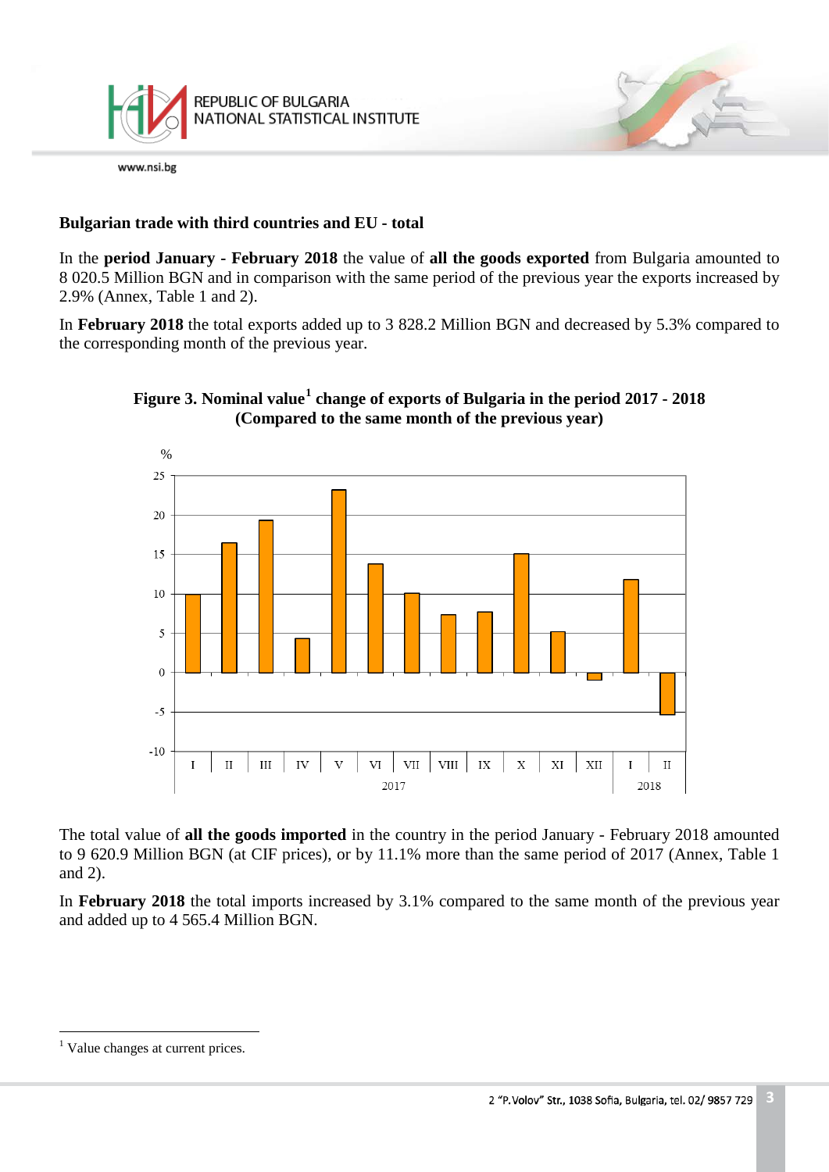

# **Bulgarian trade with third countries and EU - total**

In the **period January - February 2018** the value of **all the goods exported** from Bulgaria amounted to 8 020.5 Million BGN and in comparison with the same period of the previous year the exports increased by 2.9% (Annex, Table 1 and 2).

In **February 2018** the total exports added up to 3 828.2 Million BGN and decreased by 5.3% compared to the corresponding month of the previous year.



# **Figure 3. Nominal value[1](#page-2-0) change of exports of Bulgaria in the period 2017 - 2018 (Compared to the same month of the previous year)**

The total value of **all the goods imported** in the country in the period January - February 2018 amounted to 9 620.9 Million BGN (at CIF prices), or by 11.1% more than the same period of 2017 (Annex, Table 1 and 2).

In **February 2018** the total imports increased by 3.1% compared to the same month of the previous year and added up to 4 565.4 Million BGN.

 $\overline{a}$ 

<span id="page-2-0"></span><sup>&</sup>lt;sup>1</sup> Value changes at current prices.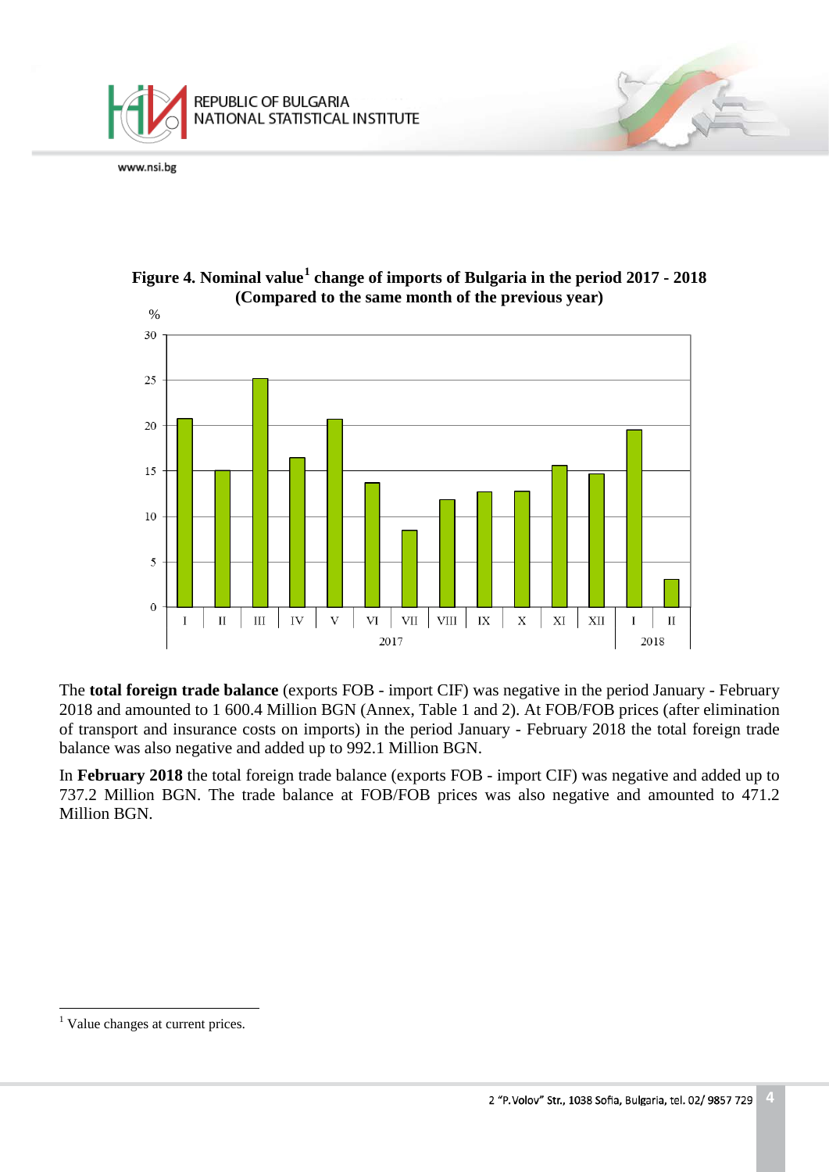





The **total foreign trade balance** (exports FOB - import CIF) was negative in the period January - February 2018 and amounted to 1 600.4 Million BGN (Annex, Table 1 and 2). At FOB/FOB prices (after elimination of transport and insurance costs on imports) in the period January - February 2018 the total foreign trade balance was also negative and added up to 992.1 Million BGN.

In **February 2018** the total foreign trade balance (exports FOB - import CIF) was negative and added up to 737.2 Million BGN. The trade balance at FOB/FOB prices was also negative and amounted to 471.2 Million BGN.

 $\overline{a}$ 

<span id="page-3-0"></span><sup>&</sup>lt;sup>1</sup> Value changes at current prices.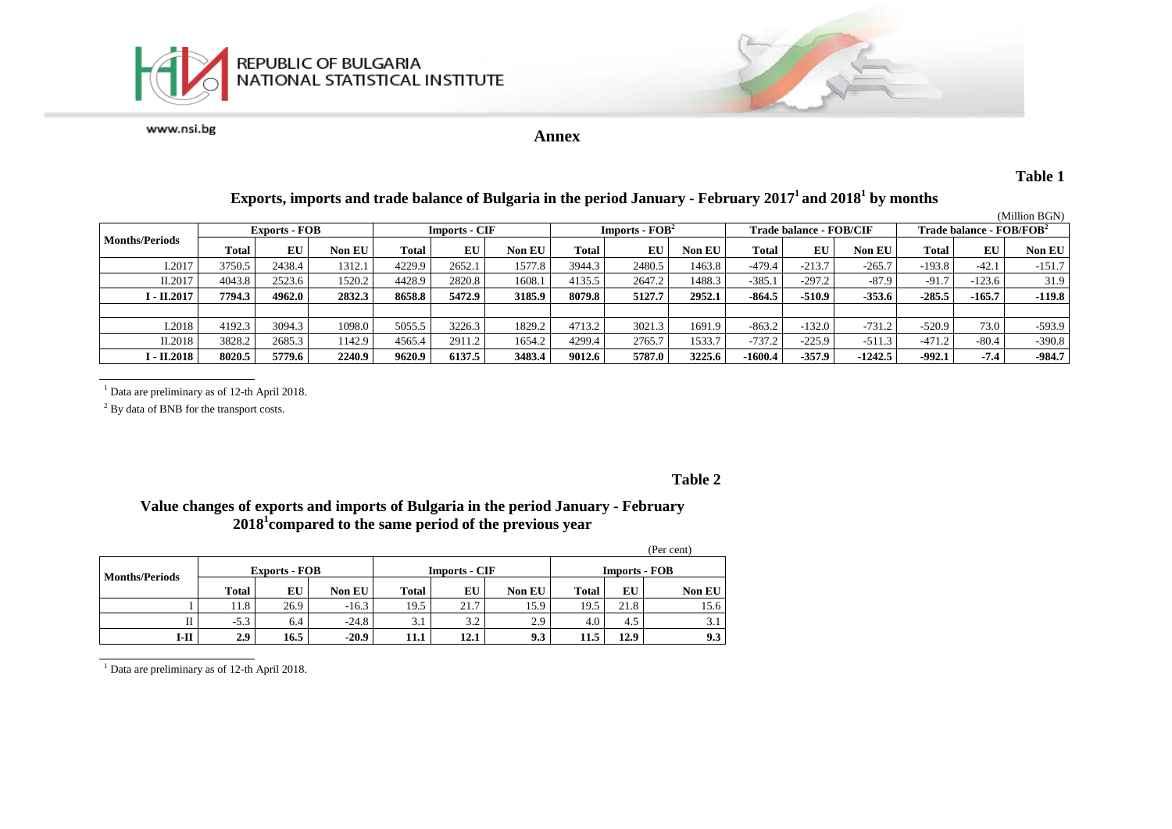



**Annex**

### **Table 1**

## **Exports, imports and trade balance of Bulgaria in the period January - February 20171 and 20181 by months**

|                       |                      |        |               |                      |        |               |                                            |        |               |                         |          |           |                                      |          | (Million BGN) |
|-----------------------|----------------------|--------|---------------|----------------------|--------|---------------|--------------------------------------------|--------|---------------|-------------------------|----------|-----------|--------------------------------------|----------|---------------|
|                       | <b>Exports - FOB</b> |        |               | <b>Imports - CIF</b> |        |               | <b>Imports - <math>\text{FOB}^2</math></b> |        |               | Trade balance - FOB/CIF |          |           | Trade balance - FOB/FOB <sup>2</sup> |          |               |
| <b>Months/Periods</b> | Total                | EU     | <b>Non EU</b> | <b>Total</b>         | EU     | <b>Non EU</b> | <b>Total</b>                               | EU     | <b>Non EU</b> | Total                   | EU       | Non EU    | Total                                | EU       | Non EU        |
| I.2017                | 3750.5               | 2438.4 | 1312.1        | 4229.9               | 2652.1 | 1577.8        | 3944.3                                     | 2480.5 | 1463.8        | $-479.4$                | $-213.7$ | $-265.7$  | $-193.8$                             | $-42.1$  | $-151.7$      |
| II.2017               | 4043.8               | 2523.6 | 1520.2        | 4428.9               | 2820.8 | 1608.1        | 4135.5                                     | 2647.2 | 1488.3        | $-385.1$                | $-297.2$ | $-87.9$   | $-91.7$                              | $-123.6$ | 31.9          |
| I - II.2017           | 7794.3               | 4962.0 | 2832.3        | 8658.8               | 5472.9 | 3185.9        | 8079.8                                     | 5127.7 | 2952.1        | $-864.5$                | $-510.9$ | $-353.6$  | $-285.5$                             | $-165.7$ | $-119.8$      |
|                       |                      |        |               |                      |        |               |                                            |        |               |                         |          |           |                                      |          |               |
| I.2018                | 4192.3               | 3094.3 | 1098.0        | 5055.5               | 3226.3 | 1829.2        | 4713.2                                     | 3021.3 | 1691.9        | $-863.2$                | $-132.0$ | $-731.2$  | $-520.9$                             | 73.0     | $-593.9$      |
| II.2018               | 3828.2               | 2685.3 | 142.9         | 4565.4               | 2911.2 | 1654.2        | 4299.4                                     | 2765.  | 1533.7        | $-737.2$                | $-225.9$ | $-511.3$  | $-471.2$                             | $-80.4$  | $-390.8$      |
| I - II.2018           | 8020.5               | 5779.6 | 2240.9        | 9620.9               | 6137.5 | 3483.4        | 9012.6                                     | 5787.0 | 3225.6        | $-1600.4$               | $-357.9$ | $-1242.5$ | $-992.1$                             | $-7.4$   | $-984.7$      |

<sup>1</sup> Data are preliminary as of 12-th April 2018.

<sup>2</sup> By data of BNB for the transport costs.

#### **Table 2**

#### **Value changes of exports and imports of Bulgaria in the period January - February 20181 compared to the same period of the previous year**

|                       |              |                      |               |              |                      |                  |                      |      | (Per cent)    |  |
|-----------------------|--------------|----------------------|---------------|--------------|----------------------|------------------|----------------------|------|---------------|--|
| <b>Months/Periods</b> |              | <b>Exports - FOB</b> |               |              | <b>Imports - CIF</b> |                  | <b>Imports - FOB</b> |      |               |  |
|                       | <b>Total</b> | EU                   | <b>Non EU</b> | <b>Total</b> | EU                   | <b>Non EU</b>    | <b>Total</b>         | EU   | <b>Non EU</b> |  |
|                       | 11.8         | 26.9                 | $-16.3$       | 19.5         | 21.7                 | 15.9             | 19.5                 | 21.8 | 15.6          |  |
|                       | $-5.3$       | 6.4                  | $-24.8$       | 3.1          | 3.2                  | 2.9 <sub>1</sub> | 4.0                  | 4.5  | 3.1           |  |
| I-II                  | 2.9          | 16.5                 | $-20.9$       | 11.1         | 12.1                 | 9.3              | 11.5                 | 12.9 | 9.3           |  |

 $\frac{1}{1}$  Data are preliminary as of 12-th April 2018.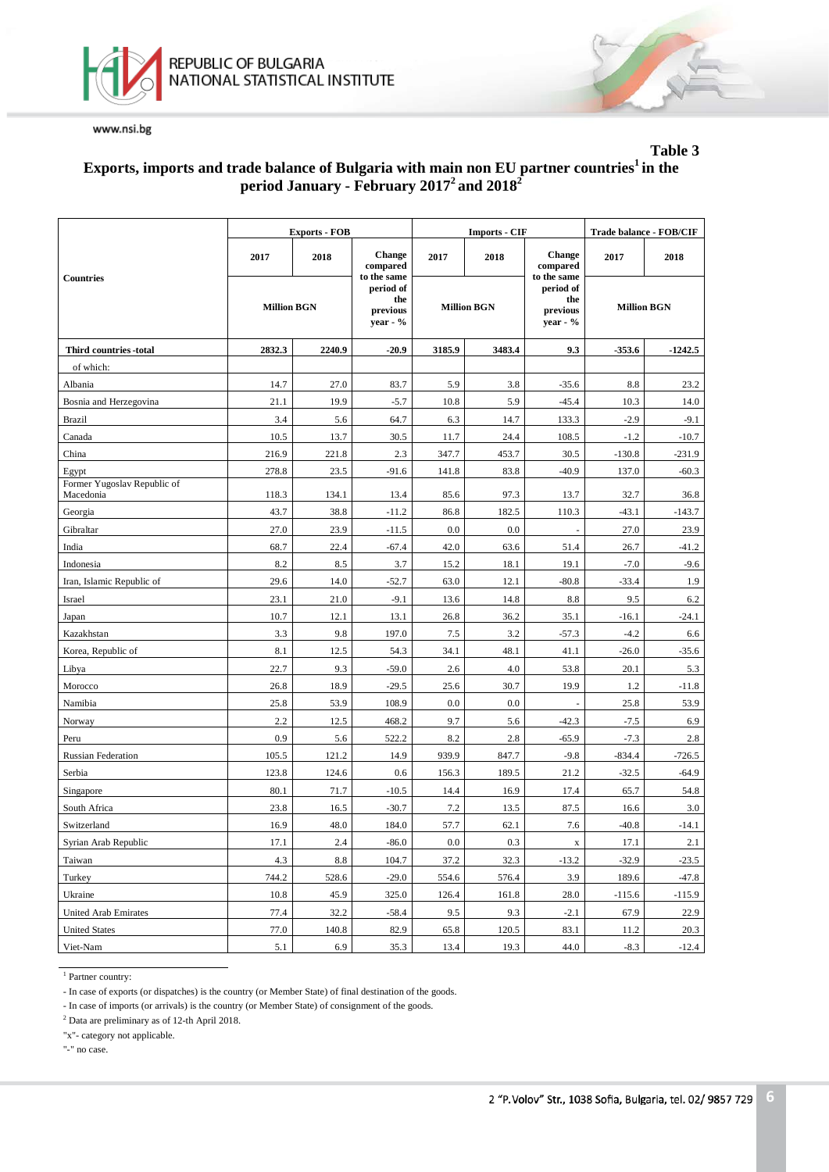



#### **Table 3 Exports, imports and trade balance of Bulgaria with main non EU partner countries1 in the period January - February 20172 and 20182**

|                                          |                    | <b>Exports - FOB</b> |                                          |         | <b>Imports - CIF</b> | Trade balance - FOB/CIF                    |                    |           |
|------------------------------------------|--------------------|----------------------|------------------------------------------|---------|----------------------|--------------------------------------------|--------------------|-----------|
|                                          | 2017<br>2018       |                      | <b>Change</b><br>compared<br>to the same | 2017    | 2018                 | <b>Change</b><br>compared<br>to the same   | 2017               | 2018      |
| <b>Countries</b>                         | <b>Million BGN</b> |                      | period of<br>the<br>previous<br>year - % |         | <b>Million BGN</b>   | period of<br>the<br>previous<br>year - $%$ | <b>Million BGN</b> |           |
| Third countries -total                   | 2832.3             | 2240.9               | $-20.9$                                  | 3185.9  | 3483.4               | 9.3                                        | $-353.6$           | $-1242.5$ |
| of which:                                |                    |                      |                                          |         |                      |                                            |                    |           |
| Albania                                  | 14.7               | 27.0                 | 83.7                                     | 5.9     | 3.8                  | $-35.6$                                    | 8.8                | 23.2      |
| Bosnia and Herzegovina                   | 21.1               | 19.9                 | $-5.7$                                   | 10.8    | 5.9                  | $-45.4$                                    | 10.3               | 14.0      |
| <b>Brazil</b>                            | 3.4                | 5.6                  | 64.7                                     | 6.3     | 14.7                 | 133.3                                      | $-2.9$             | $-9.1$    |
| Canada                                   | 10.5               | 13.7                 | 30.5                                     | 11.7    | 24.4                 | 108.5                                      | $-1.2$             | $-10.7$   |
| China                                    | 216.9              | 221.8                | 2.3                                      | 347.7   | 453.7                | 30.5                                       | $-130.8$           | $-231.9$  |
| Egypt                                    | 278.8              | 23.5                 | $-91.6$                                  | 141.8   | 83.8                 | $-40.9$                                    | 137.0              | $-60.3$   |
| Former Yugoslav Republic of<br>Macedonia | 118.3              | 134.1                | 13.4                                     | 85.6    | 97.3                 | 13.7                                       | 32.7               | 36.8      |
| Georgia                                  | 43.7               | 38.8                 | $-11.2$                                  | 86.8    | 182.5                | 110.3                                      | $-43.1$            | $-143.7$  |
| Gibraltar                                | 27.0               | 23.9                 | $-11.5$                                  | 0.0     | 0.0                  |                                            | 27.0               | 23.9      |
| India                                    | 68.7               | 22.4                 | $-67.4$                                  | 42.0    | 63.6                 | 51.4                                       | 26.7               | $-41.2$   |
| Indonesia                                | 8.2                | 8.5                  | 3.7                                      | 15.2    | 18.1                 | 19.1                                       | $-7.0$             | $-9.6$    |
| Iran, Islamic Republic of                | 29.6               | 14.0                 | $-52.7$                                  | 63.0    | 12.1                 | $-80.8$                                    | $-33.4$            | 1.9       |
| Israel                                   | 23.1               | 21.0                 | $-9.1$                                   | 13.6    | 14.8                 | 8.8                                        | 9.5                | 6.2       |
| Japan                                    | 10.7               | 12.1                 | 13.1                                     | 26.8    | 36.2                 | 35.1                                       | $-16.1$            | $-24.1$   |
| Kazakhstan                               | 3.3                | 9.8                  | 197.0                                    | 7.5     | 3.2                  | $-57.3$                                    | $-4.2$             | 6.6       |
| Korea, Republic of                       | 8.1                | 12.5                 | 54.3                                     | 34.1    | 48.1                 | 41.1                                       | $-26.0$            | $-35.6$   |
| Libya                                    | 22.7               | 9.3                  | $-59.0$                                  | 2.6     | 4.0                  | 53.8                                       | 20.1               | 5.3       |
| Morocco                                  | 26.8               | 18.9                 | $-29.5$                                  | 25.6    | 30.7                 | 19.9                                       | 1.2                | $-11.8$   |
| Namibia                                  | 25.8               | 53.9                 | 108.9                                    | $0.0\,$ | 0.0                  |                                            | 25.8               | 53.9      |
| Norway                                   | 2.2                | 12.5                 | 468.2                                    | 9.7     | 5.6                  | $-42.3$                                    | $-7.5$             | 6.9       |
| Peru                                     | 0.9                | 5.6                  | 522.2                                    | 8.2     | 2.8                  | $-65.9$                                    | $-7.3$             | 2.8       |
| <b>Russian Federation</b>                | 105.5              | 121.2                | 14.9                                     | 939.9   | 847.7                | $-9.8$                                     | $-834.4$           | $-726.5$  |
| Serbia                                   | 123.8              | 124.6                | 0.6                                      | 156.3   | 189.5                | 21.2                                       | $-32.5$            | $-64.9$   |
| Singapore                                | 80.1               | 71.7                 | $-10.5$                                  | 14.4    | 16.9                 | 17.4                                       | 65.7               | 54.8      |
| South Africa                             | 23.8               | 16.5                 | $-30.7$                                  | 7.2     | 13.5                 | 87.5                                       | 16.6               | 3.0       |
| Switzerland                              | 16.9               | 48.0                 | 184.0                                    | 57.7    | 62.1                 | 7.6                                        | $-40.8$            | -14.1     |
| Syrian Arab Republic                     | 17.1               | 2.4                  | $-86.0$                                  | $0.0\,$ | 0.3                  | $\mathbf X$                                | 17.1               | 2.1       |
| Taiwan                                   | 4.3                | 8.8                  | 104.7                                    | 37.2    | 32.3                 | $-13.2$                                    | $-32.9$            | $-23.5$   |
| Turkey                                   | 744.2              | 528.6                | $-29.0$                                  | 554.6   | 576.4                | 3.9                                        | 189.6              | $-47.8$   |
| Ukraine                                  | 10.8               | 45.9                 | 325.0                                    | 126.4   | 161.8                | 28.0                                       | $-115.6$           | $-115.9$  |
| <b>United Arab Emirates</b>              | 77.4               | 32.2                 | $-58.4$                                  | 9.5     | 9.3                  | $-2.1$                                     | 67.9               | 22.9      |
| <b>United States</b>                     | 77.0               | 140.8                | 82.9                                     | 65.8    | 120.5                | 83.1                                       | 11.2               | 20.3      |
| Viet-Nam                                 | 5.1                | 6.9                  | 35.3                                     | 13.4    | 19.3                 | 44.0                                       | $-8.3$             | $-12.4$   |

<sup>1</sup> Partner country:

- In case of exports (or dispatches) is the country (or Member State) of final destination of the goods.

- In case of imports (or arrivals) is the country (or Member State) of consignment of the goods.

<sup>2</sup> Data are preliminary as of 12-th April 2018.

"x"- category not applicable.

"-" no case.